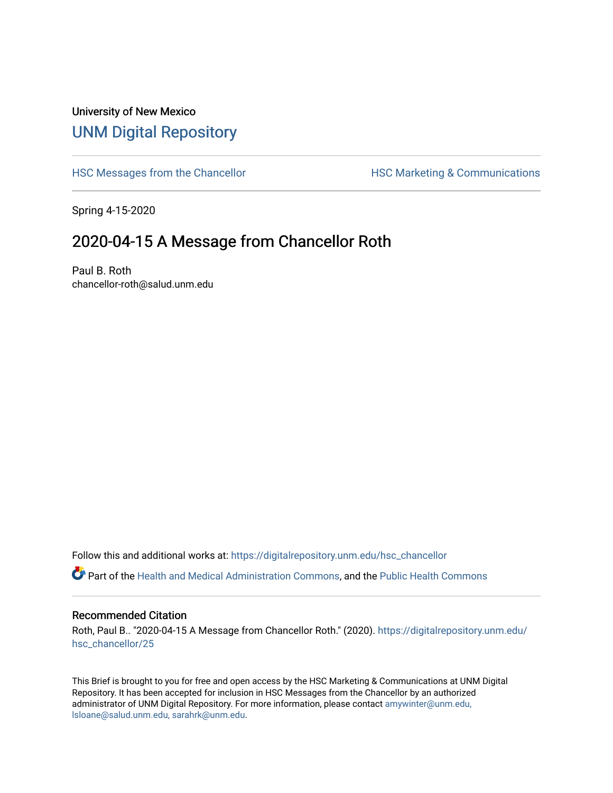## University of New Mexico [UNM Digital Repository](https://digitalrepository.unm.edu/)

[HSC Messages from the Chancellor](https://digitalrepository.unm.edu/hsc_chancellor) **HSC Marketing & Communications** 

Spring 4-15-2020

## 2020-04-15 A Message from Chancellor Roth

Paul B. Roth chancellor-roth@salud.unm.edu

Follow this and additional works at: [https://digitalrepository.unm.edu/hsc\\_chancellor](https://digitalrepository.unm.edu/hsc_chancellor?utm_source=digitalrepository.unm.edu%2Fhsc_chancellor%2F25&utm_medium=PDF&utm_campaign=PDFCoverPages) 

Part of the [Health and Medical Administration Commons](http://network.bepress.com/hgg/discipline/663?utm_source=digitalrepository.unm.edu%2Fhsc_chancellor%2F25&utm_medium=PDF&utm_campaign=PDFCoverPages), and the [Public Health Commons](http://network.bepress.com/hgg/discipline/738?utm_source=digitalrepository.unm.edu%2Fhsc_chancellor%2F25&utm_medium=PDF&utm_campaign=PDFCoverPages) 

## Recommended Citation

Roth, Paul B.. "2020-04-15 A Message from Chancellor Roth." (2020). [https://digitalrepository.unm.edu/](https://digitalrepository.unm.edu/hsc_chancellor/25?utm_source=digitalrepository.unm.edu%2Fhsc_chancellor%2F25&utm_medium=PDF&utm_campaign=PDFCoverPages) [hsc\\_chancellor/25](https://digitalrepository.unm.edu/hsc_chancellor/25?utm_source=digitalrepository.unm.edu%2Fhsc_chancellor%2F25&utm_medium=PDF&utm_campaign=PDFCoverPages) 

This Brief is brought to you for free and open access by the HSC Marketing & Communications at UNM Digital Repository. It has been accepted for inclusion in HSC Messages from the Chancellor by an authorized administrator of UNM Digital Repository. For more information, please contact [amywinter@unm.edu,](mailto:amywinter@unm.edu,%20lsloane@salud.unm.edu,%20sarahrk@unm.edu) [lsloane@salud.unm.edu, sarahrk@unm.edu.](mailto:amywinter@unm.edu,%20lsloane@salud.unm.edu,%20sarahrk@unm.edu)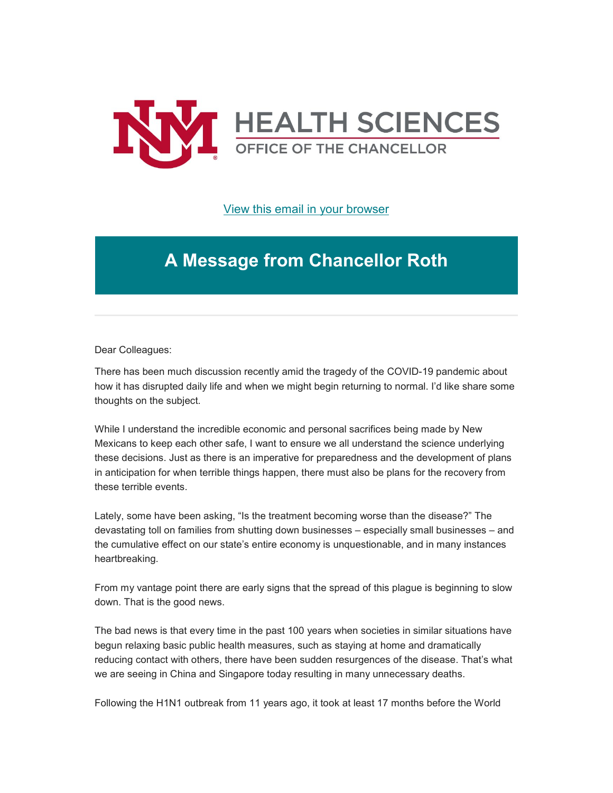

[View this email in your browser](https://mailchi.mp/80f1b1a0656e/message-from-the-chancellor-coronavirus-4387128?e=b4bbfca2c0)

## **A Message from Chancellor Roth**

Dear Colleagues:

There has been much discussion recently amid the tragedy of the COVID-19 pandemic about how it has disrupted daily life and when we might begin returning to normal. I'd like share some thoughts on the subject.

While I understand the incredible economic and personal sacrifices being made by New Mexicans to keep each other safe, I want to ensure we all understand the science underlying these decisions. Just as there is an imperative for preparedness and the development of plans in anticipation for when terrible things happen, there must also be plans for the recovery from these terrible events.

Lately, some have been asking, "Is the treatment becoming worse than the disease?" The devastating toll on families from shutting down businesses – especially small businesses – and the cumulative effect on our state's entire economy is unquestionable, and in many instances heartbreaking.

From my vantage point there are early signs that the spread of this plague is beginning to slow down. That is the good news.

The bad news is that every time in the past 100 years when societies in similar situations have begun relaxing basic public health measures, such as staying at home and dramatically reducing contact with others, there have been sudden resurgences of the disease. That's what we are seeing in China and Singapore today resulting in many unnecessary deaths.

Following the H1N1 outbreak from 11 years ago, it took at least 17 months before the World